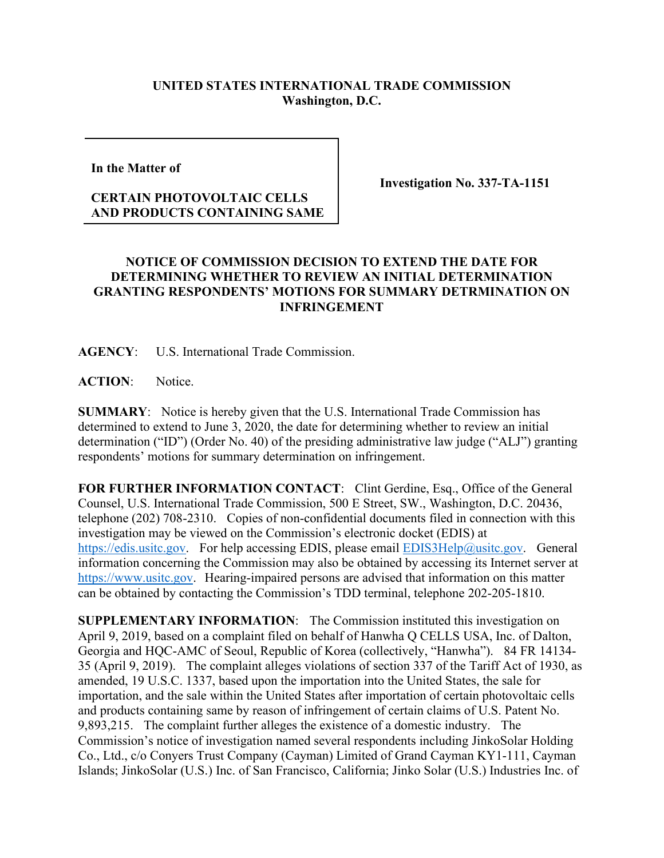## **UNITED STATES INTERNATIONAL TRADE COMMISSION Washington, D.C.**

**In the Matter of** 

## **CERTAIN PHOTOVOLTAIC CELLS AND PRODUCTS CONTAINING SAME**

**Investigation No. 337-TA-1151**

## **NOTICE OF COMMISSION DECISION TO EXTEND THE DATE FOR DETERMINING WHETHER TO REVIEW AN INITIAL DETERMINATION GRANTING RESPONDENTS' MOTIONS FOR SUMMARY DETRMINATION ON INFRINGEMENT**

**AGENCY**: U.S. International Trade Commission.

**ACTION**: Notice.

**SUMMARY**: Notice is hereby given that the U.S. International Trade Commission has determined to extend to June 3, 2020, the date for determining whether to review an initial determination ("ID") (Order No. 40) of the presiding administrative law judge ("ALJ") granting respondents' motions for summary determination on infringement.

**FOR FURTHER INFORMATION CONTACT**: Clint Gerdine, Esq., Office of the General Counsel, U.S. International Trade Commission, 500 E Street, SW., Washington, D.C. 20436, telephone (202) 708-2310. Copies of non-confidential documents filed in connection with this investigation may be viewed on the Commission's electronic docket (EDIS) at [https://edis.usitc.gov.](https://edis.usitc.gov/) For help accessing EDIS, please email [EDIS3Help@usitc.gov.](mailto:EDIS3Help@usitc.gov) General information concerning the Commission may also be obtained by accessing its Internet server at [https://www.usitc.gov.](https://www.usitc.gov/) Hearing-impaired persons are advised that information on this matter can be obtained by contacting the Commission's TDD terminal, telephone 202-205-1810.

**SUPPLEMENTARY INFORMATION**: The Commission instituted this investigation on April 9, 2019, based on a complaint filed on behalf of Hanwha Q CELLS USA, Inc. of Dalton, Georgia and HQC-AMC of Seoul, Republic of Korea (collectively, "Hanwha"). 84 FR 14134- 35 (April 9, 2019). The complaint alleges violations of section 337 of the Tariff Act of 1930, as amended, 19 U.S.C. 1337, based upon the importation into the United States, the sale for importation, and the sale within the United States after importation of certain photovoltaic cells and products containing same by reason of infringement of certain claims of U.S. Patent No. 9,893,215. The complaint further alleges the existence of a domestic industry. The Commission's notice of investigation named several respondents including JinkoSolar Holding Co., Ltd., c/o Conyers Trust Company (Cayman) Limited of Grand Cayman KY1-111, Cayman Islands; JinkoSolar (U.S.) Inc. of San Francisco, California; Jinko Solar (U.S.) Industries Inc. of